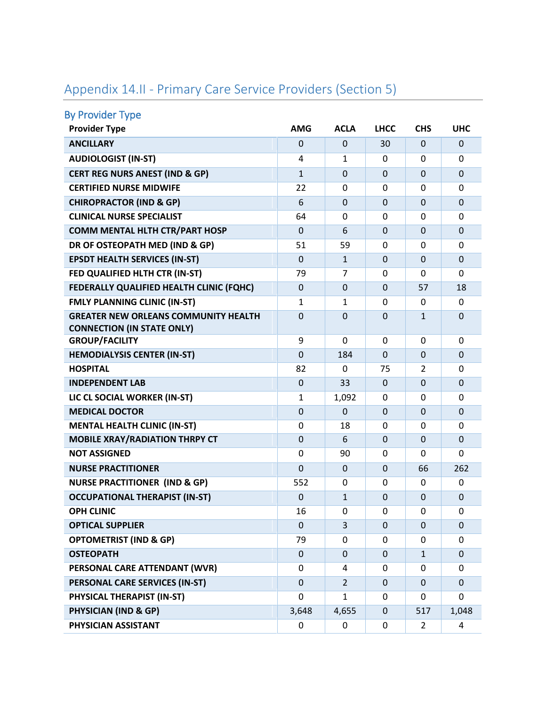| <b>By Provider Type</b>                                                          |                |                |                |                |                |
|----------------------------------------------------------------------------------|----------------|----------------|----------------|----------------|----------------|
| <b>Provider Type</b>                                                             | <b>AMG</b>     | <b>ACLA</b>    | <b>LHCC</b>    | <b>CHS</b>     | <b>UHC</b>     |
| <b>ANCILLARY</b>                                                                 | $\Omega$       | $\Omega$       | 30             | 0              | $\Omega$       |
| <b>AUDIOLOGIST (IN-ST)</b>                                                       | 4              | $\mathbf{1}$   | 0              | 0              | $\Omega$       |
| <b>CERT REG NURS ANEST (IND &amp; GP)</b>                                        | $\mathbf{1}$   | $\Omega$       | $\Omega$       | $\Omega$       | $\mathbf{0}$   |
| <b>CERTIFIED NURSE MIDWIFE</b>                                                   | 22             | $\Omega$       | 0              | $\Omega$       | $\Omega$       |
| <b>CHIROPRACTOR (IND &amp; GP)</b>                                               | 6              | $\mathbf 0$    | $\Omega$       | $\mathbf 0$    | $\mathbf 0$    |
| <b>CLINICAL NURSE SPECIALIST</b>                                                 | 64             | $\Omega$       | 0              | 0              | $\Omega$       |
| <b>COMM MENTAL HLTH CTR/PART HOSP</b>                                            | $\overline{0}$ | 6              | $\Omega$       | $\Omega$       | $\overline{0}$ |
| DR OF OSTEOPATH MED (IND & GP)                                                   | 51             | 59             | 0              | 0              | $\Omega$       |
| <b>EPSDT HEALTH SERVICES (IN-ST)</b>                                             | $\mathbf 0$    | $\mathbf{1}$   | $\Omega$       | $\Omega$       | $\Omega$       |
| FED QUALIFIED HLTH CTR (IN-ST)                                                   | 79             | 7              | 0              | $\mathbf{0}$   | $\Omega$       |
| FEDERALLY QUALIFIED HEALTH CLINIC (FQHC)                                         | $\mathbf 0$    | $\mathbf 0$    | $\Omega$       | 57             | 18             |
| <b>FMLY PLANNING CLINIC (IN-ST)</b>                                              | 1              | 1              | 0              | 0              | $\Omega$       |
| <b>GREATER NEW ORLEANS COMMUNITY HEALTH</b><br><b>CONNECTION (IN STATE ONLY)</b> | $\overline{0}$ | $\overline{0}$ | $\Omega$       | $\mathbf{1}$   | $\overline{0}$ |
| <b>GROUP/FACILITY</b>                                                            | 9              | $\Omega$       | 0              | 0              | $\Omega$       |
| <b>HEMODIALYSIS CENTER (IN-ST)</b>                                               | $\mathbf 0$    | 184            | $\Omega$       | $\mathbf 0$    | $\overline{0}$ |
| <b>HOSPITAL</b>                                                                  | 82             | $\Omega$       | 75             | 2              | $\mathbf 0$    |
| <b>INDEPENDENT LAB</b>                                                           | $\mathbf 0$    | 33             | $\Omega$       | $\mathbf 0$    | $\Omega$       |
| LIC CL SOCIAL WORKER (IN-ST)                                                     | $\mathbf{1}$   | 1,092          | 0              | 0              | 0              |
| <b>MEDICAL DOCTOR</b>                                                            | $\mathbf 0$    | $\Omega$       | $\Omega$       | $\Omega$       | $\mathbf{0}$   |
| <b>MENTAL HEALTH CLINIC (IN-ST)</b>                                              | 0              | 18             | 0              | 0              | $\Omega$       |
| <b>MOBILE XRAY/RADIATION THRPY CT</b>                                            | $\mathbf 0$    | 6              | $\Omega$       | $\Omega$       | $\Omega$       |
| <b>NOT ASSIGNED</b>                                                              | $\Omega$       | 90             | 0              | $\mathbf{0}$   | 0              |
| <b>NURSE PRACTITIONER</b>                                                        | $\overline{0}$ | $\mathbf 0$    | $\overline{0}$ | 66             | 262            |
| <b>NURSE PRACTITIONER (IND &amp; GP)</b>                                         | 552            | 0              | 0              | 0              | $\mathbf 0$    |
| <b>OCCUPATIONAL THERAPIST (IN-ST)</b>                                            | $\mathbf 0$    | $\mathbf{1}$   | $\Omega$       | $\Omega$       | $\overline{0}$ |
| <b>OPH CLINIC</b>                                                                | 16             | 0              | 0              | 0              | 0              |
| <b>OPTICAL SUPPLIER</b>                                                          | $\mathbf 0$    | 3              | $\Omega$       | $\Omega$       | $\mathbf{0}$   |
| <b>OPTOMETRIST (IND &amp; GP)</b>                                                | 79             | $\Omega$       | $\Omega$       | 0              | $\mathbf 0$    |
| <b>OSTEOPATH</b>                                                                 | $\mathbf{0}$   | $\mathbf 0$    | $\Omega$       | $\mathbf{1}$   | $\Omega$       |
| PERSONAL CARE ATTENDANT (WVR)                                                    | 0              | 4              | $\Omega$       | 0              | $\Omega$       |
| PERSONAL CARE SERVICES (IN-ST)                                                   | $\mathbf 0$    | $\overline{2}$ | $\Omega$       | $\Omega$       | $\mathbf{0}$   |
| PHYSICAL THERAPIST (IN-ST)                                                       | 0              | $\mathbf{1}$   | 0              | 0              | 0              |
| <b>PHYSICIAN (IND &amp; GP)</b>                                                  | 3,648          | 4,655          | $\mathbf 0$    | 517            | 1,048          |
| PHYSICIAN ASSISTANT                                                              | 0              | 0              | 0              | $\overline{2}$ | 4              |

## Appendix 14.II - Primary Care Service Providers (Section 5)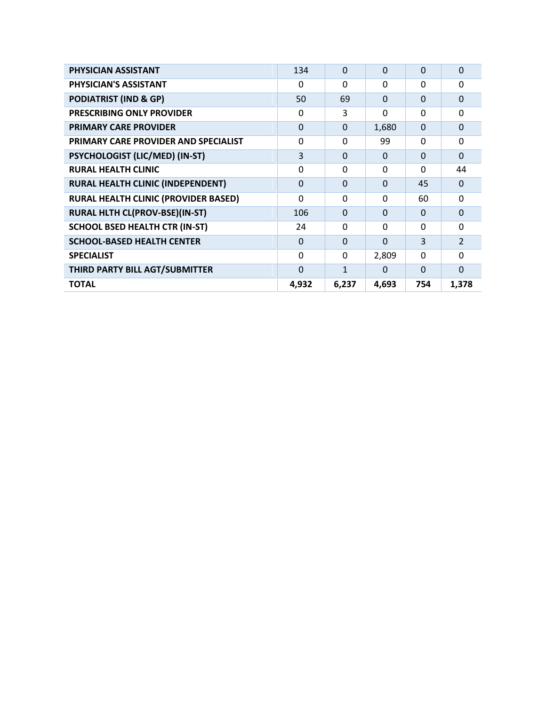| PHYSICIAN ASSISTANT                         | 134            | $\Omega$     | $\Omega$ | $\Omega$       | $\Omega$       |
|---------------------------------------------|----------------|--------------|----------|----------------|----------------|
| PHYSICIAN'S ASSISTANT                       | $\Omega$       | $\Omega$     | $\Omega$ | $\Omega$       | $\Omega$       |
| <b>PODIATRIST (IND &amp; GP)</b>            | 50             | 69           | $\Omega$ | $\Omega$       | $\Omega$       |
| PRESCRIBING ONLY PROVIDER                   | $\Omega$       | 3            | $\Omega$ | $\Omega$       | $\Omega$       |
| <b>PRIMARY CARE PROVIDER</b>                | $\Omega$       | $\Omega$     | 1,680    | $\Omega$       | $\Omega$       |
| <b>PRIMARY CARE PROVIDER AND SPECIALIST</b> | 0              | 0            | 99       | $\Omega$       | 0              |
| PSYCHOLOGIST (LIC/MED) (IN-ST)              | 3              | $\Omega$     | $\Omega$ | $\Omega$       | $\Omega$       |
| <b>RURAL HEALTH CLINIC</b>                  | $\Omega$       | $\Omega$     | $\Omega$ | $\Omega$       | 44             |
| <b>RURAL HEALTH CLINIC (INDEPENDENT)</b>    | $\mathbf 0$    | $\Omega$     | $\Omega$ | 45             | $\Omega$       |
| <b>RURAL HEALTH CLINIC (PROVIDER BASED)</b> | $\Omega$       | $\Omega$     | $\Omega$ | 60             | $\Omega$       |
| RURAL HLTH CL(PROV-BSE)(IN-ST)              | 106            | $\Omega$     | $\Omega$ | $\Omega$       | $\Omega$       |
| <b>SCHOOL BSED HEALTH CTR (IN-ST)</b>       | 24             | $\Omega$     | $\Omega$ | 0              | $\Omega$       |
| <b>SCHOOL-BASED HEALTH CENTER</b>           | $\Omega$       | $\Omega$     | $\Omega$ | $\overline{3}$ | $\overline{2}$ |
| <b>SPECIALIST</b>                           | $\Omega$       | 0            | 2,809    | 0              | $\Omega$       |
| THIRD PARTY BILL AGT/SUBMITTER              | $\overline{0}$ | $\mathbf{1}$ | $\Omega$ | $\Omega$       | $\Omega$       |
| <b>TOTAL</b>                                | 4,932          | 6,237        | 4,693    | 754            | 1,378          |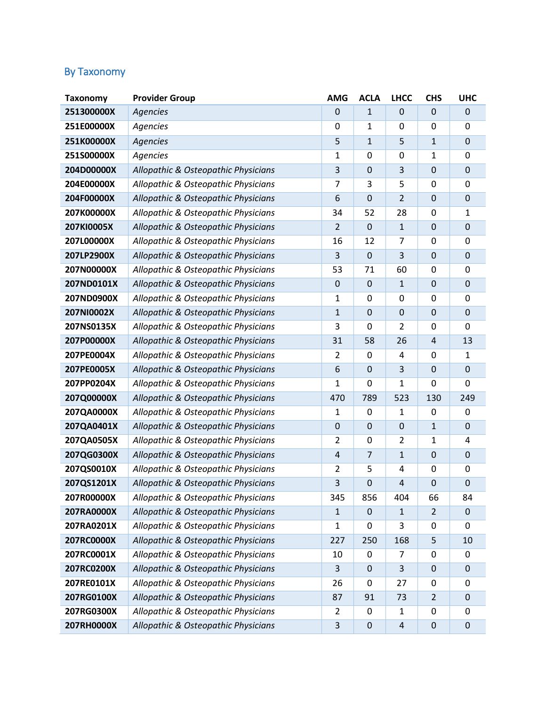## By Taxonomy

| <b>Taxonomy</b> | <b>Provider Group</b>               | <b>AMG</b>     | <b>ACLA</b>      | <b>LHCC</b>      | <b>CHS</b>       | <b>UHC</b>     |
|-----------------|-------------------------------------|----------------|------------------|------------------|------------------|----------------|
| 251300000X      | <b>Agencies</b>                     | 0              | 1                | 0                | $\mathbf{0}$     | $\mathbf 0$    |
| 251E00000X      | Agencies                            | 0              | 1                | 0                | 0                | 0              |
| 251K00000X      | Agencies                            | 5              | 1                | 5                | $\mathbf{1}$     | $\mathbf 0$    |
| 251S00000X      | Agencies                            | $\mathbf{1}$   | 0                | 0                | 1                | $\overline{0}$ |
| 204D00000X      | Allopathic & Osteopathic Physicians | 3              | $\boldsymbol{0}$ | 3                | $\mathbf 0$      | $\mathbf 0$    |
| 204E00000X      | Allopathic & Osteopathic Physicians | 7              | 3                | 5                | $\mathbf 0$      | $\mathbf 0$    |
| 204F00000X      | Allopathic & Osteopathic Physicians | 6              | $\mathbf 0$      | $\overline{2}$   | $\mathbf 0$      | $\overline{0}$ |
| 207K00000X      | Allopathic & Osteopathic Physicians | 34             | 52               | 28               | $\mathbf 0$      | $\mathbf{1}$   |
| 207KI0005X      | Allopathic & Osteopathic Physicians | $\overline{2}$ | 0                | $1\,$            | $\mathbf 0$      | $\mathbf 0$    |
| 207L00000X      | Allopathic & Osteopathic Physicians | 16             | 12               | 7                | 0                | $\Omega$       |
| 207LP2900X      | Allopathic & Osteopathic Physicians | 3              | 0                | 3                | $\mathbf 0$      | $\mathbf 0$    |
| 207N00000X      | Allopathic & Osteopathic Physicians | 53             | 71               | 60               | 0                | 0              |
| 207ND0101X      | Allopathic & Osteopathic Physicians | 0              | $\mathbf 0$      | $\mathbf{1}$     | $\mathbf 0$      | $\overline{0}$ |
| 207ND0900X      | Allopathic & Osteopathic Physicians | 1              | $\boldsymbol{0}$ | $\mathbf 0$      | $\mathbf 0$      | 0              |
| 207NI0002X      | Allopathic & Osteopathic Physicians | $1\,$          | 0                | $\mathbf 0$      | $\mathbf 0$      | $\mathbf 0$    |
| 207NS0135X      | Allopathic & Osteopathic Physicians | 3              | 0                | $\overline{2}$   | 0                | $\overline{0}$ |
| 207P00000X      | Allopathic & Osteopathic Physicians | 31             | 58               | 26               | $\overline{4}$   | 13             |
| 207PE0004X      | Allopathic & Osteopathic Physicians | $\overline{2}$ | 0                | 4                | 0                | $\mathbf{1}$   |
| 207PE0005X      | Allopathic & Osteopathic Physicians | 6              | $\mathbf 0$      | 3                | $\mathbf 0$      | $\mathbf{0}$   |
| 207PP0204X      | Allopathic & Osteopathic Physicians | 1              | 0                | 1                | 0                | $\mathbf 0$    |
| 207Q00000X      | Allopathic & Osteopathic Physicians | 470            | 789              | 523              | 130              | 249            |
| 207QA0000X      | Allopathic & Osteopathic Physicians | 1              | 0                | $\mathbf{1}$     | 0                | 0              |
| 207QA0401X      | Allopathic & Osteopathic Physicians | $\mathbf 0$    | $\boldsymbol{0}$ | $\boldsymbol{0}$ | 1                | $\mathbf 0$    |
| 207QA0505X      | Allopathic & Osteopathic Physicians | $\overline{2}$ | 0                | $\overline{2}$   | 1                | 4              |
| 207QG0300X      | Allopathic & Osteopathic Physicians | 4              | $\overline{7}$   | $\mathbf{1}$     | $\mathbf 0$      | $\overline{0}$ |
| 207QS0010X      | Allopathic & Osteopathic Physicians | $\overline{2}$ | 5                | 4                | $\mathbf 0$      | $\mathbf 0$    |
| 207QS1201X      | Allopathic & Osteopathic Physicians | 3              | $\boldsymbol{0}$ | 4                | $\mathbf 0$      | $\mathbf 0$    |
| 207R00000X      | Allopathic & Osteopathic Physicians | 345            | 856              | 404              | 66               | 84             |
| 207RA0000X      | Allopathic & Osteopathic Physicians | $\mathbf{1}$   | 0                | $\mathbf{1}$     | $\overline{2}$   | $\mathbf{0}$   |
| 207RA0201X      | Allopathic & Osteopathic Physicians | 1              | 0                | 3                | 0                | 0              |
| 207RC0000X      | Allopathic & Osteopathic Physicians | 227            | 250              | 168              | 5                | 10             |
| 207RC0001X      | Allopathic & Osteopathic Physicians | 10             | 0                | 7                | 0                | 0              |
| 207RC0200X      | Allopathic & Osteopathic Physicians | 3              | $\mathbf 0$      | 3                | $\boldsymbol{0}$ | $\mathbf 0$    |
| 207RE0101X      | Allopathic & Osteopathic Physicians | 26             | 0                | 27               | 0                | 0              |
| 207RG0100X      | Allopathic & Osteopathic Physicians | 87             | 91               | 73               | $\overline{2}$   | $\pmb{0}$      |
| 207RG0300X      | Allopathic & Osteopathic Physicians | 2              | 0                | 1                | 0                | 0              |
| 207RH0000X      | Allopathic & Osteopathic Physicians | $\mathbf{3}$   | $\boldsymbol{0}$ | $\sqrt{4}$       | $\boldsymbol{0}$ | $\mathbf 0$    |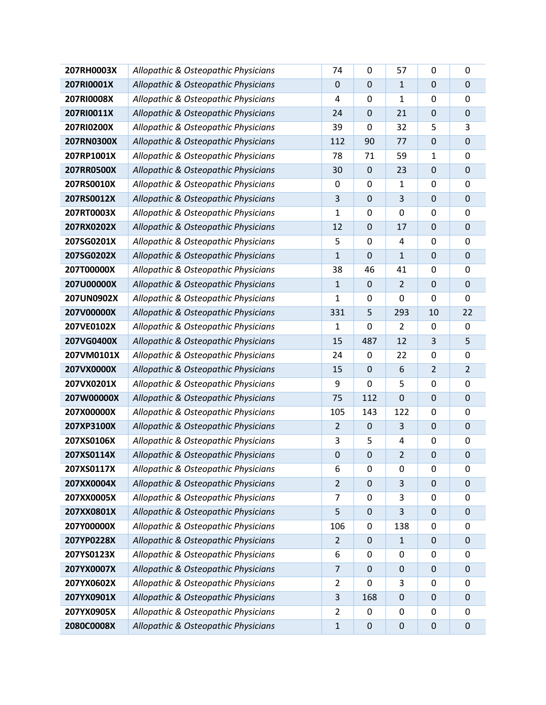| 207RH0003X | Allopathic & Osteopathic Physicians | 74             | 0                | 57             | 0                | 0                |
|------------|-------------------------------------|----------------|------------------|----------------|------------------|------------------|
| 207RI0001X | Allopathic & Osteopathic Physicians | 0              | 0                | $\mathbf{1}$   | $\mathbf 0$      | $\mathbf 0$      |
| 207RI0008X | Allopathic & Osteopathic Physicians | 4              | 0                | $\mathbf 1$    | 0                | $\overline{0}$   |
| 207RI0011X | Allopathic & Osteopathic Physicians | 24             | $\boldsymbol{0}$ | 21             | $\boldsymbol{0}$ | $\mathbf 0$      |
| 207RI0200X | Allopathic & Osteopathic Physicians | 39             | 0                | 32             | 5                | 3                |
| 207RN0300X | Allopathic & Osteopathic Physicians | 112            | 90               | 77             | $\mathbf 0$      | $\mathbf 0$      |
| 207RP1001X | Allopathic & Osteopathic Physicians | 78             | 71               | 59             | 1                | 0                |
| 207RR0500X | Allopathic & Osteopathic Physicians | 30             | 0                | 23             | $\boldsymbol{0}$ | $\pmb{0}$        |
| 207RS0010X | Allopathic & Osteopathic Physicians | 0              | 0                | $\mathbf{1}$   | 0                | $\overline{0}$   |
| 207RS0012X | Allopathic & Osteopathic Physicians | 3              | $\boldsymbol{0}$ | 3              | $\boldsymbol{0}$ | $\pmb{0}$        |
| 207RT0003X | Allopathic & Osteopathic Physicians | $\mathbf 1$    | 0                | $\mathbf 0$    | 0                | $\mathbf 0$      |
| 207RX0202X | Allopathic & Osteopathic Physicians | 12             | $\mathbf 0$      | 17             | $\mathbf 0$      | $\mathbf 0$      |
| 207SG0201X | Allopathic & Osteopathic Physicians | 5              | $\boldsymbol{0}$ | 4              | $\pmb{0}$        | 0                |
| 207SG0202X | Allopathic & Osteopathic Physicians | $\mathbf 1$    | 0                | $1\,$          | $\mathbf 0$      | $\pmb{0}$        |
| 207T00000X | Allopathic & Osteopathic Physicians | 38             | 46               | 41             | 0                | $\overline{0}$   |
| 207U00000X | Allopathic & Osteopathic Physicians | $\mathbf{1}$   | 0                | $\overline{2}$ | $\boldsymbol{0}$ | $\mathbf 0$      |
| 207UN0902X | Allopathic & Osteopathic Physicians | 1              | 0                | 0              | 0                | $\mathbf 0$      |
| 207V00000X | Allopathic & Osteopathic Physicians | 331            | 5                | 293            | 10               | 22               |
| 207VE0102X | Allopathic & Osteopathic Physicians | 1              | 0                | 2              | 0                | 0                |
| 207VG0400X | Allopathic & Osteopathic Physicians | 15             | 487              | 12             | 3                | 5                |
| 207VM0101X | Allopathic & Osteopathic Physicians | 24             | 0                | 22             | 0                | $\mathbf 0$      |
| 207VX0000X | Allopathic & Osteopathic Physicians | 15             | $\boldsymbol{0}$ | 6              | $\overline{2}$   | $\overline{2}$   |
| 207VX0201X | Allopathic & Osteopathic Physicians | 9              | 0                | 5              | 0                | $\mathbf 0$      |
| 207W00000X | Allopathic & Osteopathic Physicians | 75             | 112              | $\mathbf 0$    | $\mathbf 0$      | $\mathbf 0$      |
| 207X00000X | Allopathic & Osteopathic Physicians | 105            | 143              | 122            | $\pmb{0}$        | 0                |
| 207XP3100X | Allopathic & Osteopathic Physicians | $\overline{2}$ | 0                | 3              | $\mathbf 0$      | $\pmb{0}$        |
| 207XS0106X | Allopathic & Osteopathic Physicians | 3              | 5                | 4              | 0                | $\mathbf 0$      |
| 207XS0114X | Allopathic & Osteopathic Physicians | $\mathbf 0$    | $\boldsymbol{0}$ | $\overline{2}$ | $\boldsymbol{0}$ | $\mathbf 0$      |
| 207XS0117X | Allopathic & Osteopathic Physicians | 6              | 0                | $\mathbf 0$    | $\mathbf 0$      | 0                |
| 207XX0004X | Allopathic & Osteopathic Physicians | $\overline{2}$ | $\mathbf 0$      | 3              | $\mathbf 0$      | $\mathbf 0$      |
| 207XX0005X | Allopathic & Osteopathic Physicians | 7              | 0                | 3              | 0                | 0                |
| 207XX0801X | Allopathic & Osteopathic Physicians | 5              | 0                | 3              | $\mathbf 0$      | $\mathbf 0$      |
| 207Y00000X | Allopathic & Osteopathic Physicians | 106            | 0                | 138            | 0                | 0                |
| 207YP0228X | Allopathic & Osteopathic Physicians | $\overline{2}$ | $\pmb{0}$        | $\mathbf{1}$   | $\mathbf 0$      | $\boldsymbol{0}$ |
| 207YS0123X | Allopathic & Osteopathic Physicians | 6              | 0                | 0              | 0                | 0                |
| 207YX0007X | Allopathic & Osteopathic Physicians | $\overline{7}$ | 0                | $\mathbf 0$    | $\mathbf 0$      | $\mathbf 0$      |
| 207YX0602X | Allopathic & Osteopathic Physicians | 2              | 0                | 3              | 0                | 0                |
| 207YX0901X | Allopathic & Osteopathic Physicians | 3              | 168              | $\mathbf 0$    | $\mathbf 0$      | $\mathbf 0$      |
| 207YX0905X | Allopathic & Osteopathic Physicians | $\overline{2}$ | 0                | 0              | 0                | 0                |
| 2080C0008X | Allopathic & Osteopathic Physicians | $\mathbf 1$    | 0                | $\pmb{0}$      | $\pmb{0}$        | $\mathbf 0$      |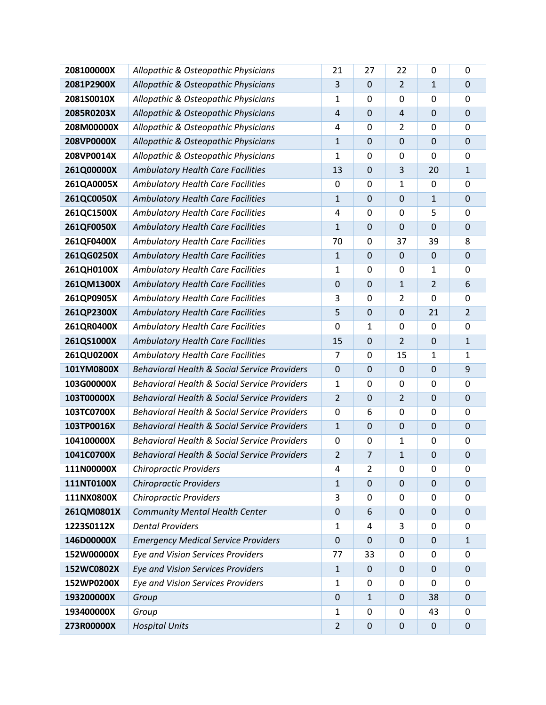| 208100000X | Allopathic & Osteopathic Physicians                     | 21             | 27               | 22               | 0              | $\mathbf 0$      |
|------------|---------------------------------------------------------|----------------|------------------|------------------|----------------|------------------|
| 2081P2900X | Allopathic & Osteopathic Physicians                     | 3              | $\mathbf 0$      | $\overline{2}$   | $\mathbf{1}$   | $\mathbf 0$      |
| 2081S0010X | Allopathic & Osteopathic Physicians                     | $\mathbf{1}$   | 0                | 0                | $\mathbf 0$    | 0                |
| 2085R0203X | Allopathic & Osteopathic Physicians                     | 4              | $\mathbf 0$      | 4                | $\mathbf 0$    | 0                |
| 208M00000X | Allopathic & Osteopathic Physicians                     | 4              | 0                | 2                | $\mathbf 0$    | 0                |
| 208VP0000X | Allopathic & Osteopathic Physicians                     | $\mathbf{1}$   | $\mathbf 0$      | $\mathbf 0$      | $\mathbf 0$    | $\mathbf 0$      |
| 208VP0014X | Allopathic & Osteopathic Physicians                     | $\mathbf{1}$   | $\boldsymbol{0}$ | $\boldsymbol{0}$ | 0              | $\mathbf 0$      |
| 261Q00000X | <b>Ambulatory Health Care Facilities</b>                | 13             | $\mathbf 0$      | 3                | 20             | $\mathbf{1}$     |
| 261QA0005X | <b>Ambulatory Health Care Facilities</b>                | 0              | 0                | 1                | $\mathbf 0$    | $\mathbf 0$      |
| 261QC0050X | <b>Ambulatory Health Care Facilities</b>                | $1\,$          | $\mathbf 0$      | $\mathbf 0$      | $1\,$          | $\mathbf 0$      |
| 261QC1500X | Ambulatory Health Care Facilities                       | 4              | 0                | $\mathbf 0$      | 5              | 0                |
| 261QF0050X | <b>Ambulatory Health Care Facilities</b>                | $\mathbf{1}$   | $\mathbf 0$      | $\mathbf 0$      | $\mathbf 0$    | $\mathbf 0$      |
| 261QF0400X | <b>Ambulatory Health Care Facilities</b>                | 70             | $\boldsymbol{0}$ | 37               | 39             | 8                |
| 261QG0250X | <b>Ambulatory Health Care Facilities</b>                | $\mathbf{1}$   | $\mathbf 0$      | $\mathbf 0$      | $\mathbf 0$    | $\mathbf 0$      |
| 261QH0100X | <b>Ambulatory Health Care Facilities</b>                | $\mathbf{1}$   | 0                | 0                | $\mathbf{1}$   | $\mathbf 0$      |
| 261QM1300X | <b>Ambulatory Health Care Facilities</b>                | $\mathbf 0$    | $\mathbf 0$      | $\mathbf{1}$     | $\overline{2}$ | 6                |
| 261QP0905X | Ambulatory Health Care Facilities                       | 3              | 0                | $\overline{2}$   | $\mathbf 0$    | 0                |
| 261QP2300X | <b>Ambulatory Health Care Facilities</b>                | 5              | $\mathbf 0$      | $\mathbf 0$      | 21             | $\overline{2}$   |
| 261QR0400X | <b>Ambulatory Health Care Facilities</b>                | 0              | 1                | $\boldsymbol{0}$ | 0              | 0                |
| 261QS1000X | <b>Ambulatory Health Care Facilities</b>                | 15             | $\mathbf 0$      | $\overline{2}$   | $\mathbf 0$    | $\mathbf{1}$     |
| 261QU0200X | <b>Ambulatory Health Care Facilities</b>                | 7              | 0                | 15               | $\mathbf{1}$   | $\mathbf 1$      |
| 101YM0800X | <b>Behavioral Health &amp; Social Service Providers</b> | $\mathbf 0$    | $\mathbf 0$      | $\mathbf 0$      | $\mathbf 0$    | 9                |
| 103G00000X | <b>Behavioral Health &amp; Social Service Providers</b> | $\mathbf{1}$   | 0                | $\boldsymbol{0}$ | $\mathbf 0$    | 0                |
| 103T00000X | <b>Behavioral Health &amp; Social Service Providers</b> | $\overline{2}$ | $\mathbf 0$      | $\overline{2}$   | $\mathbf 0$    | $\mathbf 0$      |
| 103TC0700X | <b>Behavioral Health &amp; Social Service Providers</b> | 0              | 6                | 0                | $\mathbf 0$    | 0                |
| 103TP0016X | <b>Behavioral Health &amp; Social Service Providers</b> | $\mathbf 1$    | $\mathbf 0$      | $\boldsymbol{0}$ | $\mathbf 0$    | $\mathbf 0$      |
| 104100000X | <b>Behavioral Health &amp; Social Service Providers</b> | 0              | 0                | 1                | 0              | 0                |
| 1041C0700X | <b>Behavioral Health &amp; Social Service Providers</b> | $\overline{2}$ | $\overline{7}$   | $\mathbf{1}$     | $\mathbf 0$    | $\mathbf 0$      |
| 111N00000X | <b>Chiropractic Providers</b>                           | 4              | $\overline{2}$   | $\mathbf 0$      | $\mathbf 0$    | $\boldsymbol{0}$ |
| 111NT0100X | <b>Chiropractic Providers</b>                           | $\mathbf{1}$   | $\mathbf 0$      | $\mathbf 0$      | $\mathbf 0$    | $\mathbf 0$      |
| 111NX0800X | <b>Chiropractic Providers</b>                           | 3              | 0                | 0                | 0              | 0                |
| 261QM0801X | <b>Community Mental Health Center</b>                   | $\mathbf 0$    | 6                | $\boldsymbol{0}$ | $\mathbf 0$    | $\boldsymbol{0}$ |
| 1223S0112X | <b>Dental Providers</b>                                 | $\mathbf{1}$   | 4                | 3                | 0              | 0                |
| 146D00000X | <b>Emergency Medical Service Providers</b>              | $\mathbf 0$    | $\mathbf 0$      | $\mathbf 0$      | $\mathbf 0$    | $\mathbf{1}$     |
| 152W00000X | <b>Eye and Vision Services Providers</b>                | 77             | 33               | 0                | 0              | 0                |
| 152WC0802X | <b>Eye and Vision Services Providers</b>                | $1\,$          | $\mathbf 0$      | $\mathbf 0$      | $\mathbf 0$    | $\mathbf 0$      |
| 152WP0200X | <b>Eye and Vision Services Providers</b>                | 1              | 0                | 0                | $\mathbf 0$    | $\boldsymbol{0}$ |
| 193200000X | Group                                                   | $\mathbf 0$    | 1                | $\mathbf 0$      | 38             | $\boldsymbol{0}$ |
| 193400000X | Group                                                   | $\mathbf{1}$   | 0                | $\boldsymbol{0}$ | 43             | 0                |
| 273R00000X | <b>Hospital Units</b>                                   | $\overline{2}$ | $\pmb{0}$        | $\pmb{0}$        | $\pmb{0}$      | $\boldsymbol{0}$ |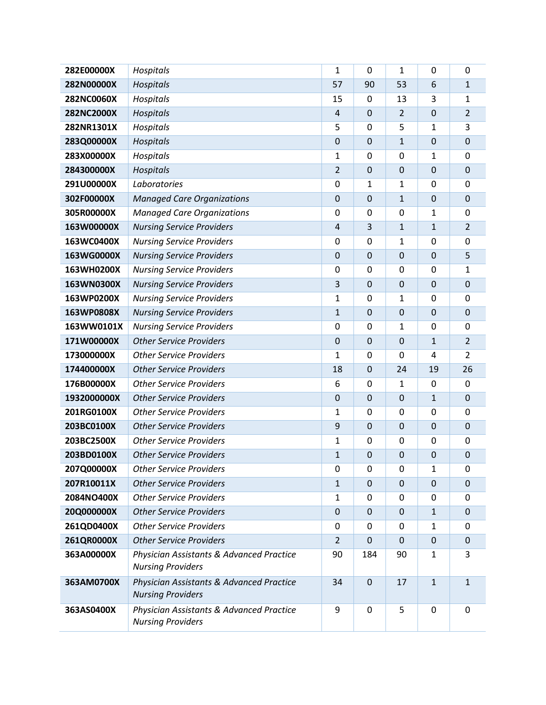| 282E00000X  | Hospitals                                                            | $\mathbf{1}$   | 0                | $\mathbf{1}$   | 0                | $\mathbf 0$    |
|-------------|----------------------------------------------------------------------|----------------|------------------|----------------|------------------|----------------|
| 282N00000X  | Hospitals                                                            | 57             | 90               | 53             | 6                | $\mathbf 1$    |
| 282NC0060X  | Hospitals                                                            | 15             | 0                | 13             | 3                | $\mathbf 1$    |
| 282NC2000X  | Hospitals                                                            | 4              | $\boldsymbol{0}$ | $\overline{2}$ | $\mathbf 0$      | $\overline{2}$ |
| 282NR1301X  | Hospitals                                                            | 5              | 0                | 5              | 1                | 3              |
| 283Q00000X  | Hospitals                                                            | $\mathbf 0$    | $\mathbf 0$      | $\mathbf{1}$   | $\mathbf 0$      | $\mathbf 0$    |
| 283X00000X  | Hospitals                                                            | $\mathbf{1}$   | $\mathbf 0$      | 0              | 1                | $\mathbf 0$    |
| 284300000X  | Hospitals                                                            | $\overline{2}$ | $\boldsymbol{0}$ | $\mathbf 0$    | $\mathbf 0$      | $\mathbf 0$    |
| 291U00000X  | Laboratories                                                         | $\mathbf 0$    | 1                | $\mathbf 1$    | $\mathbf 0$      | $\overline{0}$ |
| 302F00000X  | <b>Managed Care Organizations</b>                                    | $\mathbf 0$    | 0                | $1\,$          | $\mathbf 0$      | $\mathbf 0$    |
| 305R00000X  | <b>Managed Care Organizations</b>                                    | $\mathbf 0$    | 0                | 0              | 1                | $\mathbf 0$    |
| 163W00000X  | <b>Nursing Service Providers</b>                                     | $\overline{4}$ | 3                | $\mathbf{1}$   | $\mathbf{1}$     | $\overline{2}$ |
| 163WC0400X  | <b>Nursing Service Providers</b>                                     | $\mathbf 0$    | 0                | $\mathbf{1}$   | $\mathbf 0$      | 0              |
| 163WG0000X  | <b>Nursing Service Providers</b>                                     | $\mathbf 0$    | $\boldsymbol{0}$ | $\mathbf 0$    | $\mathbf 0$      | 5              |
| 163WH0200X  | <b>Nursing Service Providers</b>                                     | 0              | 0                | 0              | $\mathbf 0$      | $\mathbf{1}$   |
| 163WN0300X  | <b>Nursing Service Providers</b>                                     | 3              | 0                | $\mathbf 0$    | $\mathbf 0$      | $\mathbf 0$    |
| 163WP0200X  | <b>Nursing Service Providers</b>                                     | $\mathbf{1}$   | 0                | 1              | $\mathbf 0$      | 0              |
| 163WP0808X  | <b>Nursing Service Providers</b>                                     | $\mathbf{1}$   | $\mathbf 0$      | $\mathbf 0$    | $\mathbf 0$      | $\mathbf 0$    |
| 163WW0101X  | <b>Nursing Service Providers</b>                                     | $\mathbf 0$    | 0                | $\mathbf{1}$   | 0                | $\mathbf 0$    |
| 171W00000X  | <b>Other Service Providers</b>                                       | $\mathbf 0$    | $\boldsymbol{0}$ | $\mathbf 0$    | $\mathbf{1}$     | $\overline{2}$ |
| 173000000X  | <b>Other Service Providers</b>                                       | $\mathbf{1}$   | 0                | 0              | 4                | $\overline{2}$ |
| 174400000X  | <b>Other Service Providers</b>                                       | 18             | 0                | 24             | 19               | 26             |
| 176B00000X  | <b>Other Service Providers</b>                                       | 6              | 0                | $\mathbf{1}$   | $\mathbf 0$      | $\mathbf 0$    |
| 1932000000X | <b>Other Service Providers</b>                                       | $\mathbf 0$    | $\mathbf 0$      | $\mathbf 0$    | $\mathbf{1}$     | $\mathbf 0$    |
| 201RG0100X  | <b>Other Service Providers</b>                                       | 1              | 0                | 0              | $\mathbf 0$      | $\mathbf 0$    |
| 203BC0100X  | <b>Other Service Providers</b>                                       | 9              | $\boldsymbol{0}$ | $\mathbf 0$    | $\mathbf 0$      | $\mathbf 0$    |
| 203BC2500X  | <b>Other Service Providers</b>                                       | $\mathbf{1}$   | 0                | 0              | 0                | $\mathbf 0$    |
| 203BD0100X  | <b>Other Service Providers</b>                                       | $\mathbf{1}$   | 0                | $\mathbf 0$    | $\mathbf 0$      | $\mathbf 0$    |
| 207Q00000X  | <b>Other Service Providers</b>                                       | 0              | 0                | 0              | 1                | 0              |
| 207R10011X  | <b>Other Service Providers</b>                                       | $\mathbf{1}$   | $\mathbf 0$      | $\overline{0}$ | $\Omega$         | $\mathbf 0$    |
| 2084NO400X  | <b>Other Service Providers</b>                                       | $\mathbf{1}$   | 0                | 0              | 0                | 0              |
| 20Q000000X  | <b>Other Service Providers</b>                                       | $\mathbf 0$    | 0                | 0              | 1                | $\mathbf 0$    |
| 261QD0400X  | <b>Other Service Providers</b>                                       | 0              | 0                | 0              | 1                | $\Omega$       |
| 261QR0000X  | <b>Other Service Providers</b>                                       | $\overline{2}$ | 0                | 0              | $\boldsymbol{0}$ | $\mathbf 0$    |
| 363A00000X  | Physician Assistants & Advanced Practice<br><b>Nursing Providers</b> | 90             | 184              | 90             | 1                | 3              |
| 363AM0700X  | Physician Assistants & Advanced Practice<br><b>Nursing Providers</b> | 34             | 0                | 17             | $\mathbf{1}$     | $\mathbf{1}$   |
| 363AS0400X  | Physician Assistants & Advanced Practice<br><b>Nursing Providers</b> | 9              | $\mathbf 0$      | 5              | $\pmb{0}$        | $\mathbf 0$    |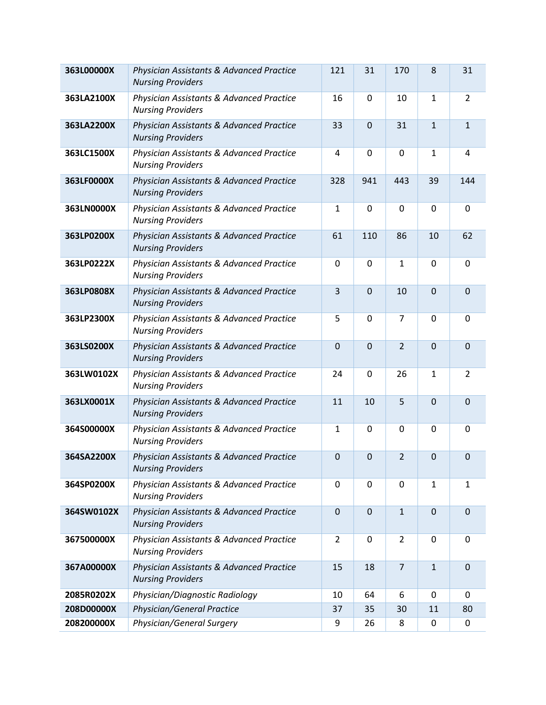| 363L00000X | Physician Assistants & Advanced Practice<br><b>Nursing Providers</b> | 121            | 31               | 170            | 8                | 31             |
|------------|----------------------------------------------------------------------|----------------|------------------|----------------|------------------|----------------|
| 363LA2100X | Physician Assistants & Advanced Practice<br><b>Nursing Providers</b> | 16             | $\pmb{0}$        | 10             | 1                | $\overline{2}$ |
| 363LA2200X | Physician Assistants & Advanced Practice<br><b>Nursing Providers</b> | 33             | $\overline{0}$   | 31             | $\mathbf{1}$     | $\mathbf{1}$   |
| 363LC1500X | Physician Assistants & Advanced Practice<br><b>Nursing Providers</b> | $\overline{4}$ | $\mathbf 0$      | $\mathbf 0$    | 1                | $\overline{4}$ |
| 363LF0000X | Physician Assistants & Advanced Practice<br><b>Nursing Providers</b> | 328            | 941              | 443            | 39               | 144            |
| 363LN0000X | Physician Assistants & Advanced Practice<br><b>Nursing Providers</b> | $\mathbf{1}$   | 0                | $\mathbf 0$    | $\mathbf 0$      | $\mathbf 0$    |
| 363LP0200X | Physician Assistants & Advanced Practice<br><b>Nursing Providers</b> | 61             | 110              | 86             | 10               | 62             |
| 363LP0222X | Physician Assistants & Advanced Practice<br><b>Nursing Providers</b> | $\mathbf 0$    | $\boldsymbol{0}$ | $\mathbf 1$    | $\mathbf 0$      | $\mathbf 0$    |
| 363LP0808X | Physician Assistants & Advanced Practice<br><b>Nursing Providers</b> | $\overline{3}$ | $\mathbf 0$      | 10             | $\mathbf 0$      | $\overline{0}$ |
| 363LP2300X | Physician Assistants & Advanced Practice<br><b>Nursing Providers</b> | 5              | 0                | $\overline{7}$ | $\mathbf 0$      | $\mathbf 0$    |
| 363LS0200X | Physician Assistants & Advanced Practice<br><b>Nursing Providers</b> | $\overline{0}$ | $\overline{0}$   | $\overline{2}$ | $\overline{0}$   | $\mathbf 0$    |
| 363LW0102X | Physician Assistants & Advanced Practice<br><b>Nursing Providers</b> | 24             | 0                | 26             | 1                | $\overline{2}$ |
| 363LX0001X | Physician Assistants & Advanced Practice<br><b>Nursing Providers</b> | 11             | 10               | 5              | $\boldsymbol{0}$ | $\mathbf 0$    |
| 364S00000X | Physician Assistants & Advanced Practice<br><b>Nursing Providers</b> | $\mathbf{1}$   | $\mathbf 0$      | $\mathbf 0$    | $\mathbf 0$      | $\mathbf 0$    |
| 364SA2200X | Physician Assistants & Advanced Practice<br><b>Nursing Providers</b> | $\mathbf 0$    | 0                | $\overline{2}$ | $\boldsymbol{0}$ | $\mathbf 0$    |
| 364SP0200X | Physician Assistants & Advanced Practice<br><b>Nursing Providers</b> | $\mathbf 0$    | $\mathbf 0$      | $\mathbf 0$    | 1                | $\mathbf 1$    |
| 364SW0102X | Physician Assistants & Advanced Practice<br><b>Nursing Providers</b> | $\mathbf{0}$   | $\mathbf{0}$     | $\mathbf{1}$   | $\mathbf 0$      | $\mathbf 0$    |
| 367500000X | Physician Assistants & Advanced Practice<br><b>Nursing Providers</b> | $\overline{2}$ | 0                | 2              | 0                | 0              |
| 367A00000X | Physician Assistants & Advanced Practice<br><b>Nursing Providers</b> | 15             | 18               | $\overline{7}$ | $\mathbf{1}$     | $\mathbf 0$    |
| 2085R0202X | Physician/Diagnostic Radiology                                       | 10             | 64               | 6              | 0                | $\mathbf 0$    |
| 208D00000X | Physician/General Practice                                           | 37             | 35               | 30             | 11               | 80             |
| 208200000X | Physician/General Surgery                                            | 9              | 26               | 8              | $\mathbf 0$      | 0              |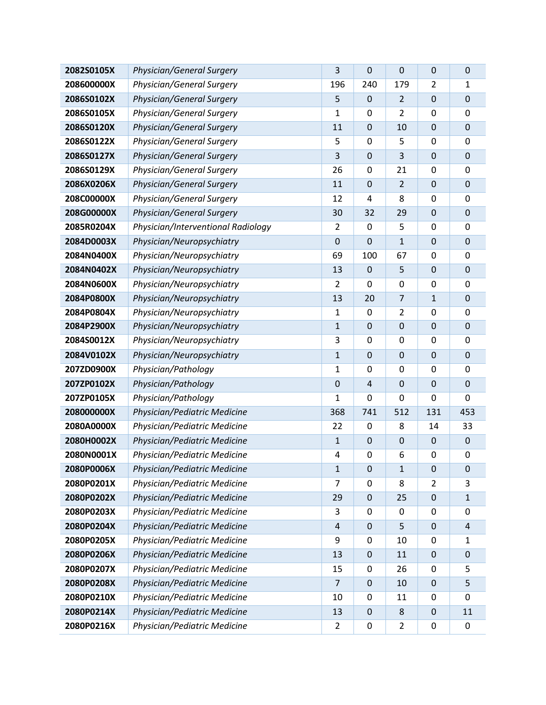| 2082S0105X | Physician/General Surgery          | 3                | 0                | 0                | $\mathbf 0$      | $\mathbf 0$      |
|------------|------------------------------------|------------------|------------------|------------------|------------------|------------------|
| 208600000X | Physician/General Surgery          | 196              | 240              | 179              | $\overline{2}$   | $\mathbf 1$      |
| 2086S0102X | Physician/General Surgery          | 5                | $\mathbf 0$      | $\overline{2}$   | $\mathbf 0$      | $\mathbf 0$      |
| 2086S0105X | Physician/General Surgery          | 1                | $\boldsymbol{0}$ | 2                | 0                | $\mathbf 0$      |
| 2086S0120X | Physician/General Surgery          | 11               | $\mathbf 0$      | 10               | $\mathbf 0$      | $\mathbf 0$      |
| 2086S0122X | Physician/General Surgery          | 5                | $\mathbf 0$      | 5                | $\mathbf 0$      | 0                |
| 2086S0127X | Physician/General Surgery          | 3                | $\mathbf 0$      | 3                | $\mathbf 0$      | $\mathbf 0$      |
| 2086S0129X | Physician/General Surgery          | 26               | $\boldsymbol{0}$ | 21               | $\mathbf 0$      | $\mathbf 0$      |
| 2086X0206X | Physician/General Surgery          | 11               | 0                | $\overline{2}$   | $\mathbf 0$      | $\mathbf 0$      |
| 208C00000X | Physician/General Surgery          | 12               | 4                | 8                | 0                | $\mathbf 0$      |
| 208G00000X | Physician/General Surgery          | 30               | 32               | 29               | $\mathbf 0$      | $\mathbf 0$      |
| 2085R0204X | Physician/Interventional Radiology | $\overline{2}$   | $\mathbf 0$      | 5                | $\mathbf 0$      | 0                |
| 2084D0003X | Physician/Neuropsychiatry          | $\boldsymbol{0}$ | $\mathbf 0$      | $\mathbf{1}$     | $\mathbf 0$      | $\mathbf 0$      |
| 2084N0400X | Physician/Neuropsychiatry          | 69               | 100              | 67               | $\mathbf 0$      | $\mathbf 0$      |
| 2084N0402X | Physician/Neuropsychiatry          | 13               | 0                | 5                | $\mathbf 0$      | $\mathbf 0$      |
| 2084N0600X | Physician/Neuropsychiatry          | $\overline{2}$   | 0                | 0                | 0                | $\mathbf 0$      |
| 2084P0800X | Physician/Neuropsychiatry          | 13               | 20               | $\overline{7}$   | $\mathbf{1}$     | $\mathbf 0$      |
| 2084P0804X | Physician/Neuropsychiatry          | 1                | $\mathbf 0$      | $\overline{2}$   | $\mathbf 0$      | 0                |
| 2084P2900X | Physician/Neuropsychiatry          | $\mathbf{1}$     | $\mathbf 0$      | $\mathbf 0$      | $\mathbf 0$      | $\mathbf 0$      |
| 2084S0012X | Physician/Neuropsychiatry          | 3                | $\boldsymbol{0}$ | 0                | $\mathbf 0$      | $\mathbf 0$      |
| 2084V0102X | Physician/Neuropsychiatry          | $\mathbf{1}$     | 0                | $\mathbf 0$      | $\mathbf 0$      | $\mathbf 0$      |
| 207ZD0900X | Physician/Pathology                | 1                | $\mathbf 0$      | 0                | 0                | $\mathbf 0$      |
| 207ZP0102X | Physician/Pathology                | $\mathbf 0$      | $\overline{4}$   | $\boldsymbol{0}$ | $\mathbf 0$      | $\mathbf 0$      |
| 207ZP0105X | Physician/Pathology                | 1                | 0                | 0                | $\mathbf 0$      | $\mathbf 0$      |
| 208000000X | Physician/Pediatric Medicine       | 368              | 741              | 512              | 131              | 453              |
| 2080A0000X | Physician/Pediatric Medicine       | 22               | $\boldsymbol{0}$ | 8                | 14               | 33               |
| 2080H0002X | Physician/Pediatric Medicine       | $\mathbf{1}$     | $\mathbf 0$      | $\mathbf 0$      | $\mathbf 0$      | $\mathbf 0$      |
| 2080N0001X | Physician/Pediatric Medicine       | 4                | $\boldsymbol{0}$ | 6                | 0                | $\mathbf 0$      |
| 2080P0006X | Physician/Pediatric Medicine       | $\mathbf{1}$     | $\mathbf 0$      | $\mathbf{1}$     | $\mathbf 0$      | 0                |
| 2080P0201X | Physician/Pediatric Medicine       | 7                | 0                | 8                | $\overline{2}$   | 3                |
| 2080P0202X | Physician/Pediatric Medicine       | 29               | $\pmb{0}$        | 25               | $\boldsymbol{0}$ | $\mathbf 1$      |
| 2080P0203X | Physician/Pediatric Medicine       | 3                | 0                | 0                | 0                | 0                |
| 2080P0204X | Physician/Pediatric Medicine       | $\overline{4}$   | $\mathbf 0$      | 5                | $\mathbf 0$      | $\overline{4}$   |
| 2080P0205X | Physician/Pediatric Medicine       | 9                | 0                | 10               | 0                | 1                |
| 2080P0206X | Physician/Pediatric Medicine       | 13               | $\pmb{0}$        | 11               | $\mathbf 0$      | $\mathbf 0$      |
| 2080P0207X | Physician/Pediatric Medicine       | 15               | 0                | 26               | $\mathbf 0$      | 5                |
| 2080P0208X | Physician/Pediatric Medicine       | $\overline{7}$   | $\bf{0}$         | 10               | $\boldsymbol{0}$ | 5                |
| 2080P0210X | Physician/Pediatric Medicine       | 10               | 0                | 11               | 0                | $\boldsymbol{0}$ |
| 2080P0214X | Physician/Pediatric Medicine       | 13               | $\pmb{0}$        | 8                | $\mathbf 0$      | 11               |
| 2080P0216X | Physician/Pediatric Medicine       | 2                | 0                | 2                | 0                | $\pmb{0}$        |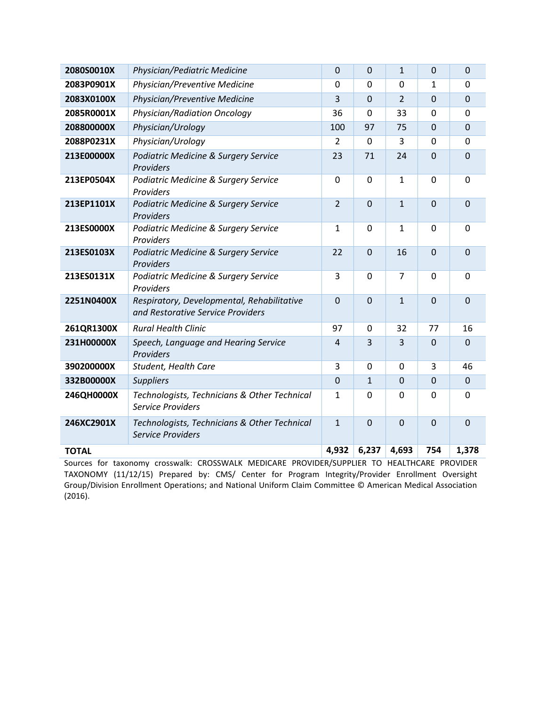| 2080S0010X   | Physician/Pediatric Medicine                                                    | $\mathbf 0$    | $\mathbf 0$    | $\mathbf{1}$   | $\mathbf 0$    | $\mathbf 0$    |
|--------------|---------------------------------------------------------------------------------|----------------|----------------|----------------|----------------|----------------|
| 2083P0901X   | Physician/Preventive Medicine                                                   | 0              | 0              | $\mathbf 0$    | 1              | $\Omega$       |
| 2083X0100X   | Physician/Preventive Medicine                                                   | 3              | $\overline{0}$ | $\overline{2}$ | $\mathbf 0$    | $\overline{0}$ |
| 2085R0001X   | <b>Physician/Radiation Oncology</b>                                             | 36             | $\mathbf 0$    | 33             | $\mathbf 0$    | $\overline{0}$ |
| 208800000X   | Physician/Urology                                                               | 100            | 97             | 75             | $\mathbf 0$    | $\mathbf 0$    |
| 2088P0231X   | Physician/Urology                                                               | 2              | $\mathbf 0$    | 3              | $\mathbf 0$    | $\mathbf 0$    |
| 213E00000X   | Podiatric Medicine & Surgery Service<br>Providers                               | 23             | 71             | 24             | $\overline{0}$ | $\overline{0}$ |
| 213EP0504X   | Podiatric Medicine & Surgery Service<br>Providers                               | $\Omega$       | $\mathbf 0$    | $\mathbf{1}$   | $\mathbf 0$    | $\overline{0}$ |
| 213EP1101X   | Podiatric Medicine & Surgery Service<br>Providers                               | $\overline{2}$ | $\overline{0}$ | $\mathbf{1}$   | $\mathbf 0$    | $\overline{0}$ |
| 213ES0000X   | Podiatric Medicine & Surgery Service<br>Providers                               | $\mathbf{1}$   | 0              | $\mathbf{1}$   | $\Omega$       | $\overline{0}$ |
| 213ES0103X   | Podiatric Medicine & Surgery Service<br>Providers                               | 22             | $\mathbf 0$    | 16             | $\mathbf 0$    | $\overline{0}$ |
| 213ES0131X   | Podiatric Medicine & Surgery Service<br>Providers                               | 3              | $\mathbf 0$    | $\overline{7}$ | $\mathbf 0$    | $\mathbf 0$    |
| 2251N0400X   | Respiratory, Developmental, Rehabilitative<br>and Restorative Service Providers | $\overline{0}$ | $\overline{0}$ | $\mathbf{1}$   | $\overline{0}$ | $\overline{0}$ |
| 261QR1300X   | <b>Rural Health Clinic</b>                                                      | 97             | $\mathbf 0$    | 32             | 77             | 16             |
| 231H00000X   | Speech, Language and Hearing Service<br>Providers                               | $\overline{4}$ | 3              | 3              | $\Omega$       | $\Omega$       |
| 390200000X   | Student, Health Care                                                            | 3              | $\mathbf 0$    | $\mathbf 0$    | 3              | 46             |
| 332B00000X   | <b>Suppliers</b>                                                                | $\overline{0}$ | $\mathbf{1}$   | $\overline{0}$ | $\mathbf{0}$   | $\mathbf 0$    |
| 246QH0000X   | Technologists, Technicians & Other Technical<br><b>Service Providers</b>        | $\mathbf{1}$   | 0              | $\overline{0}$ | $\mathbf 0$    | $\mathbf{0}$   |
| 246XC2901X   | Technologists, Technicians & Other Technical<br><b>Service Providers</b>        | $\mathbf{1}$   | $\overline{0}$ | $\overline{0}$ | $\overline{0}$ | $\overline{0}$ |
| <b>TOTAL</b> |                                                                                 | 4,932          | 6,237          | 4,693          | 754            | 1,378          |

Sources for taxonomy crosswalk: CROSSWALK MEDICARE PROVIDER/SUPPLIER TO HEALTHCARE PROVIDER TAXONOMY (11/12/15) Prepared by: CMS/ Center for Program Integrity/Provider Enrollment Oversight Group/Division Enrollment Operations; and National Uniform Claim Committee © American Medical Association (2016).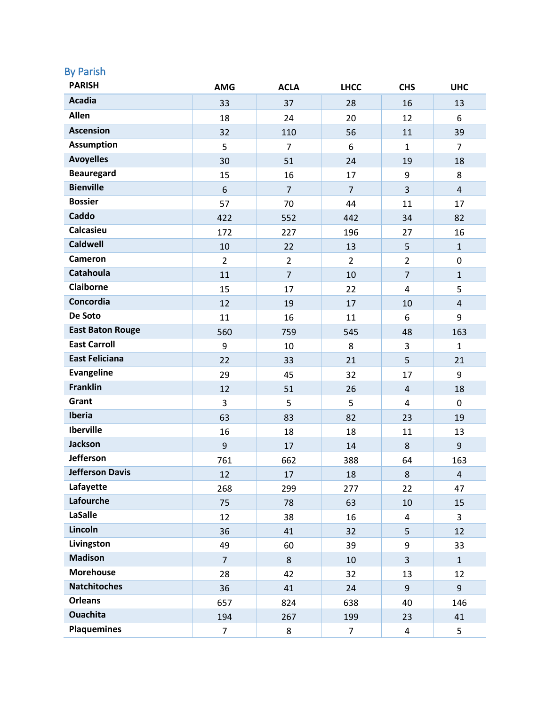## By Parish

| <b>PARISH</b>           | <b>AMG</b>       | <b>ACLA</b>    | <b>LHCC</b>    | <b>CHS</b>              | <b>UHC</b>     |
|-------------------------|------------------|----------------|----------------|-------------------------|----------------|
| <b>Acadia</b>           | 33               | 37             | 28             | 16                      | 13             |
| Allen                   | 18               | 24             | 20             | 12                      | 6              |
| <b>Ascension</b>        | 32               | 110            | 56             | 11                      | 39             |
| <b>Assumption</b>       | 5                | 7              | 6              | $\mathbf{1}$            | 7              |
| <b>Avoyelles</b>        | 30               | 51             | 24             | 19                      | 18             |
| <b>Beauregard</b>       | 15               | 16             | 17             | 9                       | 8              |
| <b>Bienville</b>        | $\boldsymbol{6}$ | $\overline{7}$ | $\overline{7}$ | 3                       | $\overline{4}$ |
| <b>Bossier</b>          | 57               | 70             | 44             | 11                      | 17             |
| Caddo                   | 422              | 552            | 442            | 34                      | 82             |
| Calcasieu               | 172              | 227            | 196            | 27                      | 16             |
| <b>Caldwell</b>         | 10               | 22             | 13             | 5                       | $\mathbf{1}$   |
| Cameron                 | $\overline{2}$   | $\overline{2}$ | $\overline{2}$ | $\overline{2}$          | $\mathbf 0$    |
| Catahoula               | 11               | $\overline{7}$ | 10             | $\overline{7}$          | $\mathbf{1}$   |
| <b>Claiborne</b>        | 15               | 17             | 22             | $\overline{4}$          | 5              |
| Concordia               | 12               | 19             | 17             | 10                      | $\overline{4}$ |
| De Soto                 | 11               | 16             | 11             | 6                       | 9              |
| <b>East Baton Rouge</b> | 560              | 759            | 545            | 48                      | 163            |
| <b>East Carroll</b>     | 9                | 10             | 8              | 3                       | $\mathbf{1}$   |
| <b>East Feliciana</b>   | 22               | 33             | 21             | 5                       | 21             |
| <b>Evangeline</b>       | 29               | 45             | 32             | 17                      | 9              |
| <b>Franklin</b>         | 12               | 51             | 26             | $\overline{4}$          | 18             |
| Grant                   | $\overline{3}$   | 5              | 5              | $\overline{4}$          | 0              |
| Iberia                  | 63               | 83             | 82             | 23                      | 19             |
| <b>Iberville</b>        | 16               | 18             | 18             | 11                      | 13             |
| <b>Jackson</b>          | $9$              | 17             | 14             | $\,8\,$                 | 9              |
| <b>Jefferson</b>        | 761              | 662            | 388            | 64                      | 163            |
| <b>Jefferson Davis</b>  | 12               | 17             | 18             | $\,8\,$                 | $\overline{4}$ |
| Lafayette               | 268              | 299            | 277            | 22                      | 47             |
| Lafourche               | 75               | 78             | 63             | 10                      | 15             |
| <b>LaSalle</b>          | 12               | 38             | 16             | $\overline{\mathbf{4}}$ | 3              |
| Lincoln                 | 36               | 41             | 32             | 5                       | 12             |
| Livingston              | 49               | 60             | 39             | 9                       | 33             |
| <b>Madison</b>          | $\overline{7}$   | 8              | 10             | $\overline{3}$          | $\mathbf{1}$   |
| <b>Morehouse</b>        | 28               | 42             | 32             | 13                      | 12             |
| <b>Natchitoches</b>     | 36               | 41             | 24             | $\overline{9}$          | 9              |
| <b>Orleans</b>          | 657              | 824            | 638            | 40                      | 146            |
| <b>Ouachita</b>         | 194              | 267            | 199            | 23                      | 41             |
| <b>Plaquemines</b>      | $\overline{7}$   | 8              | $\overline{7}$ | 4                       | 5              |